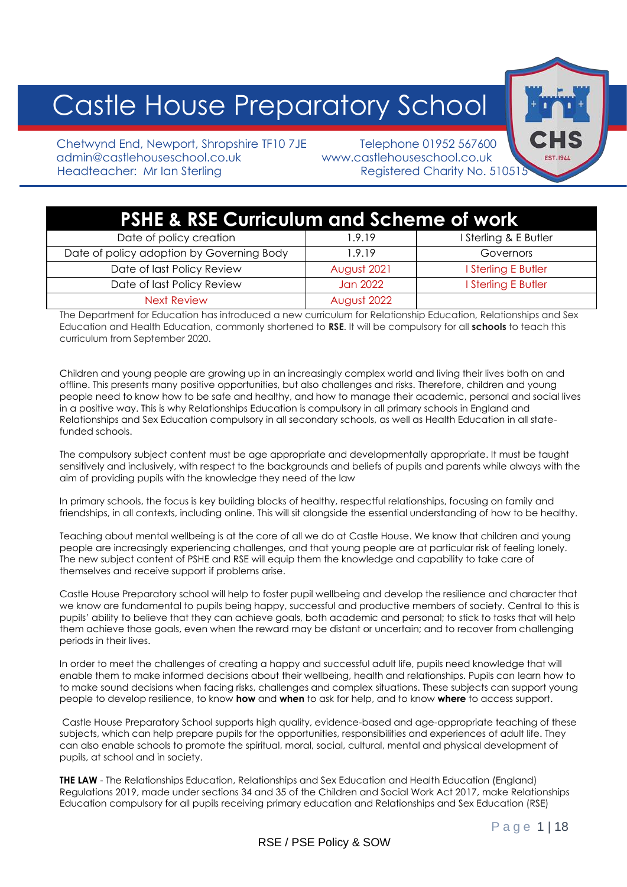# Castle House Preparatory School

Chetwynd End, Newport, Shropshire TF10 7JE Telephone 01952 567600 admin@castlehouseschool.co.uk www.castlehouseschool.co.uk Headteacher: Mr Ian Sterling Registered Charity No. 510515

## **PSHE & RSE Curriculum and Scheme of work**

| Date of policy creation                   | 1.9.19      | I Sterling & E Butler |  |
|-------------------------------------------|-------------|-----------------------|--|
| Date of policy adoption by Governing Body | 1.9.19      | Governors             |  |
| Date of last Policy Review                | August 2021 | I Sterling E Butler   |  |
| Date of last Policy Review                | Jan 2022    | I Sterling E Butler   |  |
| <b>Next Review</b>                        | August 2022 |                       |  |

The Department for Education has introduced a new curriculum for Relationship Education, Relationships and Sex Education and Health Education, commonly shortened to **RSE**. It will be compulsory for all **schools** to teach this curriculum from September 2020.

Children and young people are growing up in an increasingly complex world and living their lives both on and offline. This presents many positive opportunities, but also challenges and risks. Therefore, children and young people need to know how to be safe and healthy, and how to manage their academic, personal and social lives in a positive way. This is why Relationships Education is compulsory in all primary schools in England and Relationships and Sex Education compulsory in all secondary schools, as well as Health Education in all statefunded schools.

The compulsory subject content must be age appropriate and developmentally appropriate. It must be taught sensitively and inclusively, with respect to the backgrounds and beliefs of pupils and parents while always with the aim of providing pupils with the knowledge they need of the law

In primary schools, the focus is key building blocks of healthy, respectful relationships, focusing on family and friendships, in all contexts, including online. This will sit alongside the essential understanding of how to be healthy.

Teaching about mental wellbeing is at the core of all we do at Castle House. We know that children and young people are increasingly experiencing challenges, and that young people are at particular risk of feeling lonely. The new subject content of PSHE and RSE will equip them the knowledge and capability to take care of themselves and receive support if problems arise.

Castle House Preparatory school will help to foster pupil wellbeing and develop the resilience and character that we know are fundamental to pupils being happy, successful and productive members of society. Central to this is pupils' ability to believe that they can achieve goals, both academic and personal; to stick to tasks that will help them achieve those goals, even when the reward may be distant or uncertain; and to recover from challenging periods in their lives.

In order to meet the challenges of creating a happy and successful adult life, pupils need knowledge that will enable them to make informed decisions about their wellbeing, health and relationships. Pupils can learn how to to make sound decisions when facing risks, challenges and complex situations. These subjects can support young people to develop resilience, to know **how** and **when** to ask for help, and to know **where** to access support.

Castle House Preparatory School supports high quality, evidence-based and age-appropriate teaching of these subjects, which can help prepare pupils for the opportunities, responsibilities and experiences of adult life. They can also enable schools to promote the spiritual, moral, social, cultural, mental and physical development of pupils, at school and in society.

**THE LAW** - The Relationships Education, Relationships and Sex Education and Health Education (England) Regulations 2019, made under sections 34 and 35 of the Children and Social Work Act 2017, make Relationships Education compulsory for all pupils receiving primary education and Relationships and Sex Education (RSE)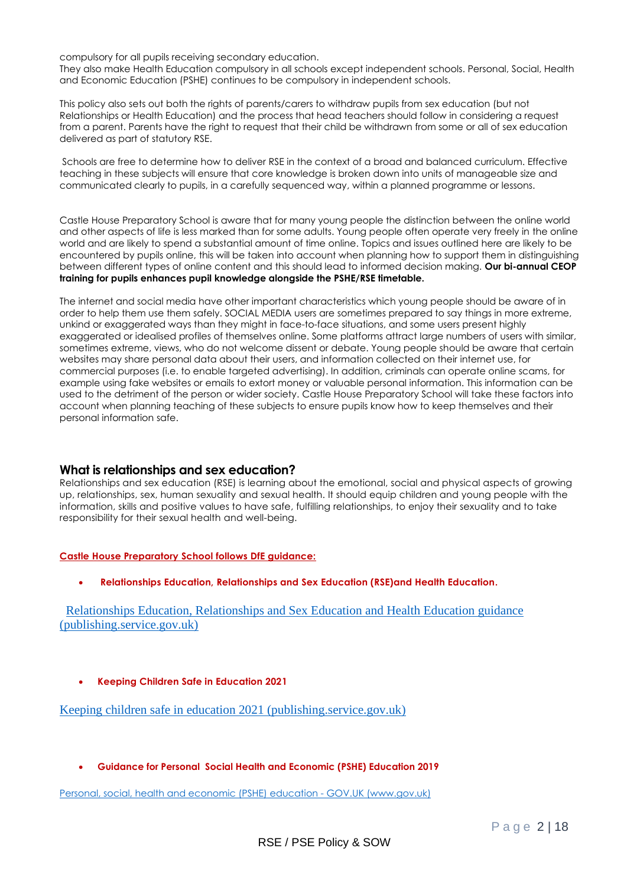compulsory for all pupils receiving secondary education.

They also make Health Education compulsory in all schools except independent schools. Personal, Social, Health and Economic Education (PSHE) continues to be compulsory in independent schools.

This policy also sets out both the rights of parents/carers to withdraw pupils from sex education (but not Relationships or Health Education) and the process that head teachers should follow in considering a request from a parent. Parents have the right to request that their child be withdrawn from some or all of sex education delivered as part of statutory RSE.

Schools are free to determine how to deliver RSE in the context of a broad and balanced curriculum. Effective teaching in these subjects will ensure that core knowledge is broken down into units of manageable size and communicated clearly to pupils, in a carefully sequenced way, within a planned programme or lessons.

Castle House Preparatory School is aware that for many young people the distinction between the online world and other aspects of life is less marked than for some adults. Young people often operate very freely in the online world and are likely to spend a substantial amount of time online. Topics and issues outlined here are likely to be encountered by pupils online, this will be taken into account when planning how to support them in distinguishing between different types of online content and this should lead to informed decision making. **Our bi-annual CEOP training for pupils enhances pupil knowledge alongside the PSHE/RSE timetable.** 

The internet and social media have other important characteristics which young people should be aware of in order to help them use them safely. SOCIAL MEDIA users are sometimes prepared to say things in more extreme, unkind or exaggerated ways than they might in face-to-face situations, and some users present highly exaggerated or idealised profiles of themselves online. Some platforms attract large numbers of users with similar, sometimes extreme, views, who do not welcome dissent or debate. Young people should be aware that certain websites may share personal data about their users, and information collected on their internet use, for commercial purposes (i.e. to enable targeted advertising). In addition, criminals can operate online scams, for example using fake websites or emails to extort money or valuable personal information. This information can be used to the detriment of the person or wider society. Castle House Preparatory School will take these factors into account when planning teaching of these subjects to ensure pupils know how to keep themselves and their personal information safe.

#### **What is relationships and sex education?**

Relationships and sex education (RSE) is learning about the emotional, social and physical aspects of growing up, relationships, sex, human sexuality and sexual health. It should equip children and young people with the information, skills and positive values to have safe, fulfilling relationships, to enjoy their sexuality and to take responsibility for their sexual health and well-being.

#### **Castle House Preparatory School follows DfE guidance:**

• **Relationships Education, Relationships and Sex Education (RSE)and Health Education.**

 [Relationships Education, Relationships and Sex Education and Health Education guidance](https://assets.publishing.service.gov.uk/government/uploads/system/uploads/attachment_data/file/1019542/Relationships_Education__Relationships_and_Sex_Education__RSE__and_Health_Education.pdf)  [\(publishing.service.gov.uk\)](https://assets.publishing.service.gov.uk/government/uploads/system/uploads/attachment_data/file/1019542/Relationships_Education__Relationships_and_Sex_Education__RSE__and_Health_Education.pdf)

#### • **Keeping Children Safe in Education 2021**

[Keeping children safe in education 2021 \(publishing.service.gov.uk\)](https://assets.publishing.service.gov.uk/government/uploads/system/uploads/attachment_data/file/1021914/KCSIE_2021_September_guidance.pdf)

#### • **Guidance for Personal Social Health and Economic (PSHE) Education 2019**

[Personal, social, health and economic \(PSHE\) education -](https://www.gov.uk/government/publications/personal-social-health-and-economic-education-pshe/personal-social-health-and-economic-pshe-education) GOV.UK (www.gov.uk)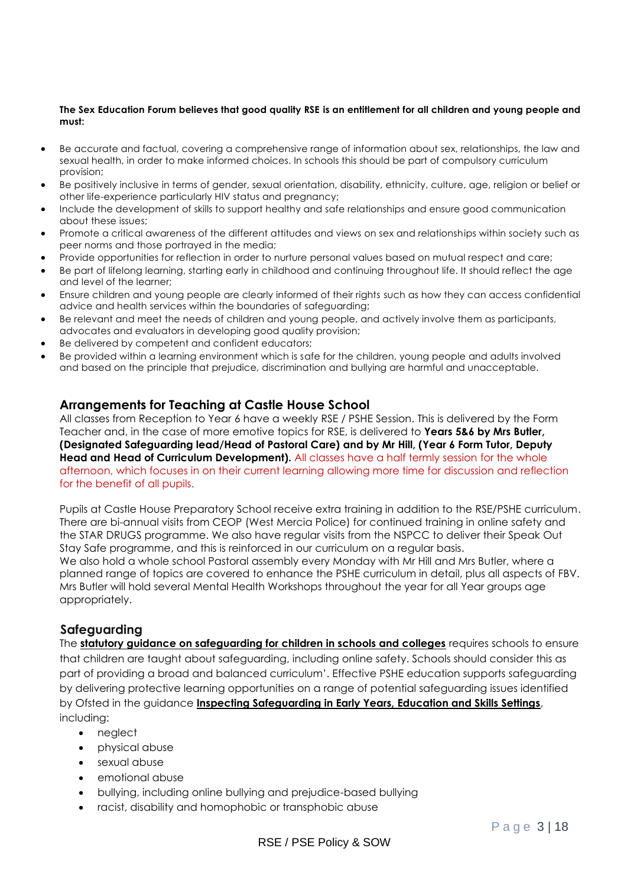#### **The Sex Education Forum believes that good quality RSE is an entitlement for all children and young people and must:**

- Be accurate and factual, covering a comprehensive range of information about sex, relationships, the law and sexual health, in order to make informed choices. In schools this should be part of compulsory curriculum provision;
- Be positively inclusive in terms of gender, sexual orientation, disability, ethnicity, culture, age, religion or belief or other life-experience particularly HIV status and pregnancy;
- Include the development of skills to support healthy and safe relationships and ensure good communication about these issues;
- Promote a critical awareness of the different attitudes and views on sex and relationships within society such as peer norms and those portrayed in the media;
- Provide opportunities for reflection in order to nurture personal values based on mutual respect and care;
- Be part of lifelong learning, starting early in childhood and continuing throughout life. It should reflect the age and level of the learner;
- Ensure children and young people are clearly informed of their rights such as how they can access confidential advice and health services within the boundaries of safeguarding;
- Be relevant and meet the needs of children and young people, and actively involve them as participants, advocates and evaluators in developing good quality provision;
- Be delivered by competent and confident educators;
- Be provided within a learning environment which is safe for the children, young people and adults involved and based on the principle that prejudice, discrimination and bullying are harmful and unacceptable.

#### **Arrangements for Teaching at Castle House School**

All classes from Reception to Year 6 have a weekly RSE / PSHE Session. This is delivered by the Form Teacher and, in the case of more emotive topics for RSE, is delivered to **Years 5&6 by Mrs Butler, (Designated Safeguarding lead/Head of Pastoral Care) and by Mr Hill, (Year 6 Form Tutor, Deputy Head and Head of Curriculum Development).** All classes have a half termly session for the whole afternoon, which focuses in on their current learning allowing more time for discussion and reflection for the benefit of all pupils.

Pupils at Castle House Preparatory School receive extra training in addition to the RSE/PSHE curriculum. There are bi-annual visits from CEOP (West Mercia Police) for continued training in online safety and the STAR DRUGS programme. We also have regular visits from the NSPCC to deliver their Speak Out Stay Safe programme, and this is reinforced in our curriculum on a regular basis.

We also hold a whole school Pastoral assembly every Monday with Mr Hill and Mrs Butler, where a planned range of topics are covered to enhance the PSHE curriculum in detail, plus all aspects of FBV. Mrs Butler will hold several Mental Health Workshops throughout the year for all Year groups age appropriately.

#### **Safeguarding**

The **statutory guidance on safeguarding for children in schools and colleges** requires schools to ensure that children are taught about safeguarding, including online safety. Schools should consider this as part of providing a broad and balanced curriculum'. Effective PSHE education supports safeguarding by delivering protective learning opportunities on a range of potential safeguarding issues identified by Ofsted in the guidance **Inspecting Safeguarding in Early Years, Education and Skills Settings**, including:

- neglect
- physical abuse
- sexual abuse
- emotional abuse
- bullying, including online bullying and prejudice-based bullying
- racist, disability and homophobic or transphobic abuse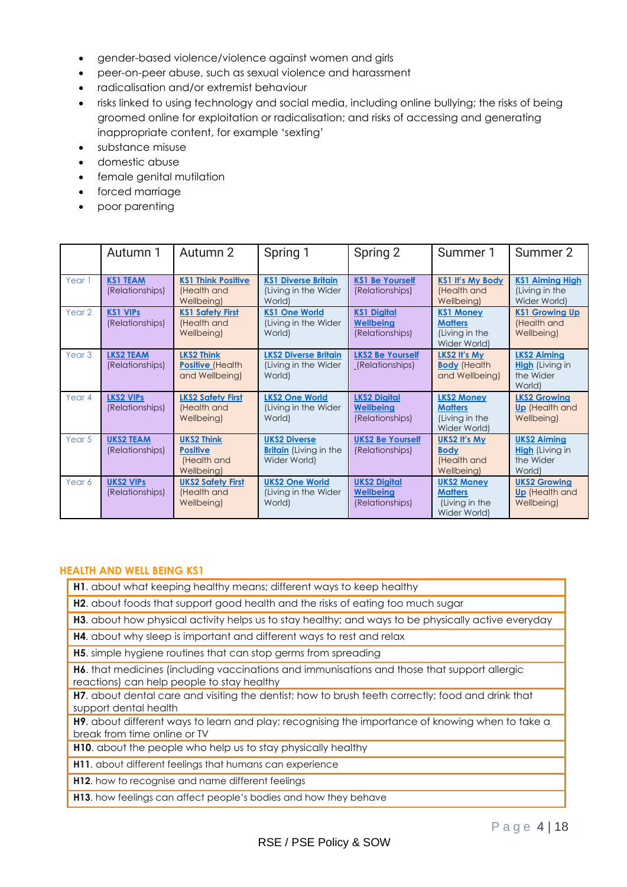- gender-based violence/violence against women and girls
- peer-on-peer abuse, such as sexual violence and harassment
- radicalisation and/or extremist behaviour
- risks linked to using technology and social media, including online bullying; the risks of being groomed online for exploitation or radicalisation; and risks of accessing and generating inappropriate content, for example 'sexting'
- substance misuse
- domestic abuse
- female genital mutilation
- forced marriage
- poor parenting

|                   | Autumn 1                            | Autumn 2                                                          | Spring 1                                                             | Spring 2                                                   | Summer 1                                                              | Summer 2                                                            |
|-------------------|-------------------------------------|-------------------------------------------------------------------|----------------------------------------------------------------------|------------------------------------------------------------|-----------------------------------------------------------------------|---------------------------------------------------------------------|
| Year 1            | <b>KS1 TEAM</b><br>(Relationships)  | <b>KS1 Think Positive</b><br>(Health and<br>Wellbeing)            | <b>KS1 Diverse Britain</b><br>(Living in the Wider<br>World)         | <b>KS1 Be Yourself</b><br>(Relationships)                  | <b>KS1 It's My Body</b><br>(Health and<br>Wellbeing)                  | <b>KS1 Aiming High</b><br>(Living in the<br>Wider World)            |
| Year 2            | <b>KS1 VIPs</b><br>(Relationships)  | <b>KS1 Safety First</b><br>(Health and<br>Wellbeing)              | <b>KS1 One World</b><br>(Living in the Wider<br>World)               | <b>KS1 Digital</b><br><b>Wellbeing</b><br>(Relationships)  | <b>KS1 Money</b><br><b>Matters</b><br>(Living in the<br>Wider World)  | <b>KS1 Growing Up</b><br>(Health and<br>Wellbeing)                  |
| Year <sub>3</sub> | <b>LKS2 TEAM</b><br>(Relationships) | <b>LKS2 Think</b><br><b>Positive (Health</b><br>and Wellbeing)    | <b>LKS2 Diverse Britain</b><br>(Living in the Wider<br>World)        | <b>LKS2 Be Yourself</b><br>(Relationships)                 | LKS2 It's My<br><b>Body</b> (Health<br>and Wellbeing)                 | <b>LKS2 Aiming</b><br><b>High</b> (Living in<br>the Wider<br>World) |
| Year 4            | <b>LKS2 VIPS</b><br>(Relationships) | <b>LKS2 Safety First</b><br>(Health and<br>Wellbeing)             | <b>LKS2 One World</b><br>(Living in the Wider<br>World)              | <b>LKS2 Digital</b><br><b>Wellbeing</b><br>(Relationships) | <b>LKS2 Money</b><br><b>Matters</b><br>(Living in the<br>Wider World) | <b>LKS2 Growing</b><br><b>Up</b> (Health and<br>Wellbeing)          |
| Year 5            | <b>UKS2 TEAM</b><br>(Relationships) | <b>UKS2 Think</b><br><b>Positive</b><br>(Health and<br>Wellbeing) | <b>UKS2 Diverse</b><br><b>Britain</b> (Living in the<br>Wider World) | <b>UKS2 Be Yourself</b><br>(Relationships)                 | <b>UKS2 It's My</b><br><b>Body</b><br>(Health and<br>Wellbeing)       | <b>UKS2 Aiming</b><br><b>High</b> (Living in<br>the Wider<br>World) |
| Year 6            | <b>UKS2 VIPS</b><br>(Relationships) | <b>UKS2 Safety First</b><br>(Health and<br>Wellbeing)             | <b>UKS2 One World</b><br>(Living in the Wider<br>World)              | <b>UKS2 Digital</b><br><b>Wellbeing</b><br>(Relationships) | <b>UKS2 Money</b><br><b>Matters</b><br>(Living in the<br>Wider World) | <b>UKS2 Growing</b><br><b>Up</b> (Health and<br>Wellbeing)          |

#### **HEALTH AND WELL BEING KS1**

- **H1**. about what keeping healthy means; different ways to keep healthy
- **H2**. about foods that support good health and the risks of eating too much sugar
- **H3**. about how physical activity helps us to stay healthy; and ways to be physically active everyday
- **H4**. about why sleep is important and different ways to rest and relax
- **H5**. simple hygiene routines that can stop germs from spreading
- **H6**. that medicines (including vaccinations and immunisations and those that support allergic reactions) can help people to stay healthy
- **H7**. about dental care and visiting the dentist; how to brush teeth correctly; food and drink that support dental health

**H9**. about different ways to learn and play; recognising the importance of knowing when to take a break from time online or TV

**H10**. about the people who help us to stay physically healthy

**H11**. about different feelings that humans can experience

**H12**. how to recognise and name different feelings

**H13**. how feelings can affect people's bodies and how they behave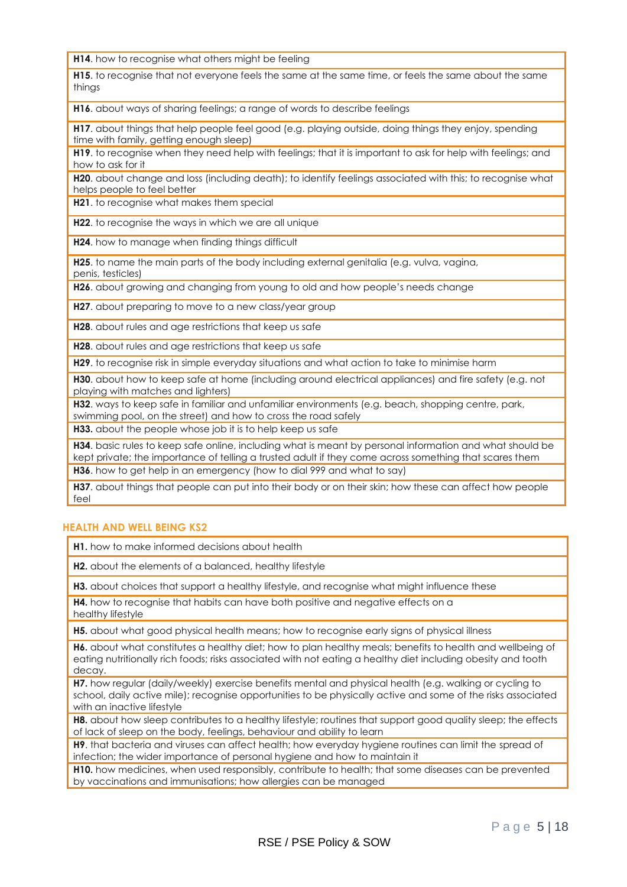**H14**. how to recognise what others might be feeling

**H15**. to recognise that not everyone feels the same at the same time, or feels the same about the same thinas

**H16**. about ways of sharing feelings; a range of words to describe feelings

**H17**. about things that help people feel good (e.g. playing outside, doing things they enjoy, spending time with family, getting enough sleep)

**H19.** to recognise when they need help with feelings; that it is important to ask for help with feelings; and how to ask for it

**H20**. about change and loss (including death); to identify feelings associated with this; to recognise what helps people to feel better

**H21**. to recognise what makes them special

**H22**. to recognise the ways in which we are all unique

**H24**. how to manage when finding things difficult

**H25**. to name the main parts of the body including external genitalia (e.g. vulva, vagina, penis, testicles)

**H26**. about growing and changing from young to old and how people's needs change

**H27**. about preparing to move to a new class/year group

**H28**. about rules and age restrictions that keep us safe

**H28**. about rules and age restrictions that keep us safe

**H29**. to recognise risk in simple everyday situations and what action to take to minimise harm

**H30**. about how to keep safe at home (including around electrical appliances) and fire safety (e.g. not playing with matches and lighters)

**H32**. ways to keep safe in familiar and unfamiliar environments (e.g. beach, shopping centre, park, swimming pool, on the street) and how to cross the road safely

**H33.** about the people whose job it is to help keep us safe

**H34**. basic rules to keep safe online, including what is meant by personal information and what should be kept private; the importance of telling a trusted adult if they come across something that scares them **H36**. how to get help in an emergency (how to dial 999 and what to say)

**H37**. about things that people can put into their body or on their skin; how these can affect how people feel

#### **HEALTH AND WELL BEING KS2**

**H1.** how to make informed decisions about health

**H2.** about the elements of a balanced, healthy lifestyle

**H3.** about choices that support a healthy lifestyle, and recognise what might influence these

**H4.** how to recognise that habits can have both positive and negative effects on a healthy lifestyle

**H5.** about what good physical health means; how to recognise early signs of physical illness

**H6.** about what constitutes a healthy diet; how to plan healthy meals; benefits to health and wellbeing of eating nutritionally rich foods; risks associated with not eating a healthy diet including obesity and tooth decay.

**H7.** how regular (daily/weekly) exercise benefits mental and physical health (e.g. walking or cycling to school, daily active mile); recognise opportunities to be physically active and some of the risks associated with an inactive lifestyle

**H8.** about how sleep contributes to a healthy lifestyle; routines that support good quality sleep; the effects of lack of sleep on the body, feelings, behaviour and ability to learn

**H9**. that bacteria and viruses can affect health; how everyday hygiene routines can limit the spread of infection; the wider importance of personal hygiene and how to maintain it

**H10.** how medicines, when used responsibly, contribute to health; that some diseases can be prevented by vaccinations and immunisations; how allergies can be managed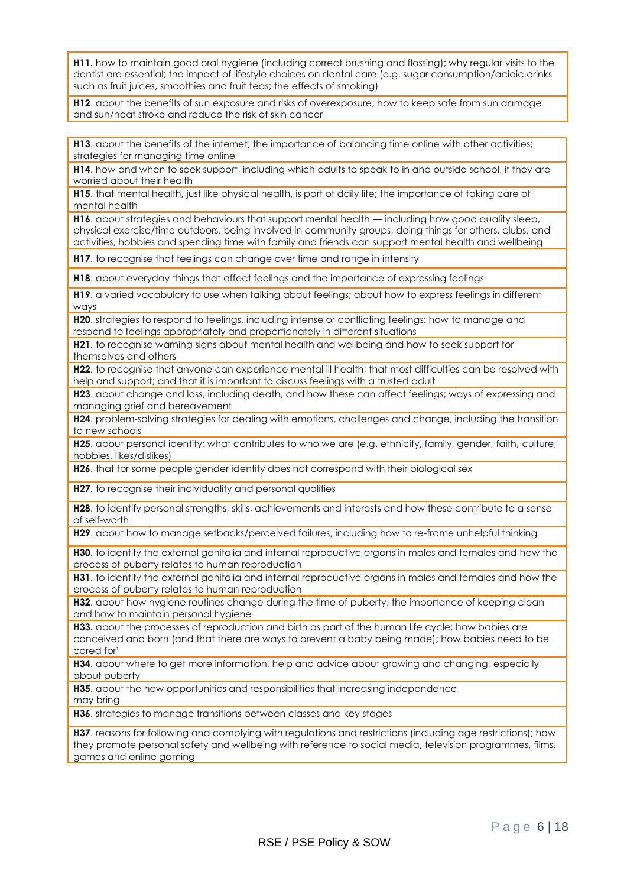**H11.** how to maintain good oral hygiene (including correct brushing and flossing); why regular visits to the dentist are essential; the impact of lifestyle choices on dental care (e.g. sugar consumption/acidic drinks such as fruit juices, smoothies and fruit teas; the effects of smoking)

**H12**. about the benefits of sun exposure and risks of overexposure; how to keep safe from sun damage and sun/heat stroke and reduce the risk of skin cancer

**H13**. about the benefits of the internet; the importance of balancing time online with other activities; strategies for managing time online

**H14**. how and when to seek support, including which adults to speak to in and outside school, if they are worried about their health

**H15**. that mental health, just like physical health, is part of daily life; the importance of taking care of mental health

**H16**. about strategies and behaviours that support mental health — including how good quality sleep, physical exercise/time outdoors, being involved in community groups, doing things for others, clubs, and activities, hobbies and spending time with family and friends can support mental health and wellbeing

**H17**. to recognise that feelings can change over time and range in intensity

**H18**. about everyday things that affect feelings and the importance of expressing feelings

**H19.** a varied vocabulary to use when talking about feelings; about how to express feelings in different ways

**H20.** strategies to respond to feelings, including intense or conflicting feelings; how to manage and respond to feelings appropriately and proportionately in different situations

**H21**. to recognise warning signs about mental health and wellbeing and how to seek support for themselves and others

**H22**. to recognise that anyone can experience mental ill health; that most difficulties can be resolved with help and support; and that it is important to discuss feelings with a trusted adult

**H23**. about change and loss, including death, and how these can affect feelings; ways of expressing and managing grief and bereavement

**H24**. problem-solving strategies for dealing with emotions, challenges and change, including the transition to new schools

**H25.** about personal identity; what contributes to who we are (e.g. ethnicity, family, gender, faith, culture, hobbies, likes/dislikes)

**H26**. that for some people gender identity does not correspond with their biological sex

**H27**. to recognise their individuality and personal qualities

**H28**. to identify personal strengths, skills, achievements and interests and how these contribute to a sense of self-worth

**H29.** about how to manage setbacks/perceived failures, including how to re-frame unhelpful thinking

**H30**. to identify the external genitalia and internal reproductive organs in males and females and how the process of puberty relates to human reproduction

**H31**. to identify the external genitalia and internal reproductive organs in males and females and how the process of puberty relates to human reproduction

**H32**. about how hygiene routines change during the time of puberty, the importance of keeping clean and how to maintain personal hygiene

**H33.** about the processes of reproduction and birth as part of the human life cycle; how babies are conceived and born (and that there are ways to prevent a baby being made); how babies need to be cared for<sup>1</sup>

**H34**. about where to get more information, help and advice about growing and changing, especially about puberty

**H35**. about the new opportunities and responsibilities that increasing independence may bring

**H36**. strategies to manage transitions between classes and key stages

**H37.** reasons for following and complying with regulations and restrictions (including age restrictions); how they promote personal safety and wellbeing with reference to social media, television programmes, films, games and online gaming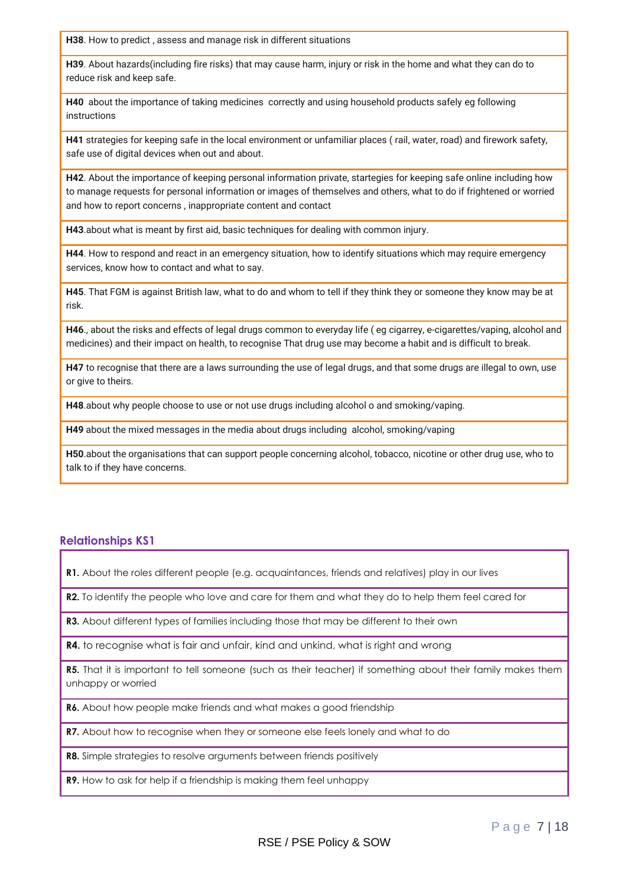**H38**. How to predict , assess and manage risk in different situations

**H39**. About hazards(including fire risks) that may cause harm, injury or risk in the home and what they can do to reduce risk and keep safe.

**H40** about the importance of taking medicines correctly and using household products safely eg following instructions

**H41** strategies for keeping safe in the local environment or unfamiliar places ( rail, water, road) and firework safety, safe use of digital devices when out and about.

**H42**. About the importance of keeping personal information private, startegies for keeping safe online including how to manage requests for personal information or images of themselves and others, what to do if frightened or worried and how to report concerns , inappropriate content and contact

**H43**.about what is meant by first aid, basic techniques for dealing with common injury.

**H44**. How to respond and react in an emergency situation, how to identify situations which may require emergency services, know how to contact and what to say.

**H45**. That FGM is against British law, what to do and whom to tell if they think they or someone they know may be at risk.

**H46**., about the risks and effects of legal drugs common to everyday life ( eg cigarrey, e-cigarettes/vaping, alcohol and medicines) and their impact on health, to recognise That drug use may become a habit and is difficult to break.

**H47** to recognise that there are a laws surrounding the use of legal drugs, and that some drugs are illegal to own, use or give to theirs.

**H48**.about why people choose to use or not use drugs including alcohol o and smoking/vaping.

**H49** about the mixed messages in the media about drugs including alcohol, smoking/vaping

**H50**.about the organisations that can support people concerning alcohol, tobacco, nicotine or other drug use, who to talk to if they have concerns.

#### **Relationships KS1**

**R1.** About the roles different people (e.g. acquaintances, friends and relatives) play in our lives

**R2.** To identify the people who love and care for them and what they do to help them feel cared for

**R3.** About different types of families including those that may be different to their own

**R4.** to recognise what is fair and unfair, kind and unkind, what is right and wrong

**R5.** That it is important to tell someone (such as their teacher) if something about their family makes them unhappy or worried

R6. About how people make friends and what makes a good friendship

**R7.** About how to recognise when they or someone else feels lonely and what to do

**R8.** Simple strategies to resolve arguments between friends positively

**R9.** How to ask for help if a friendship is making them feel unhappy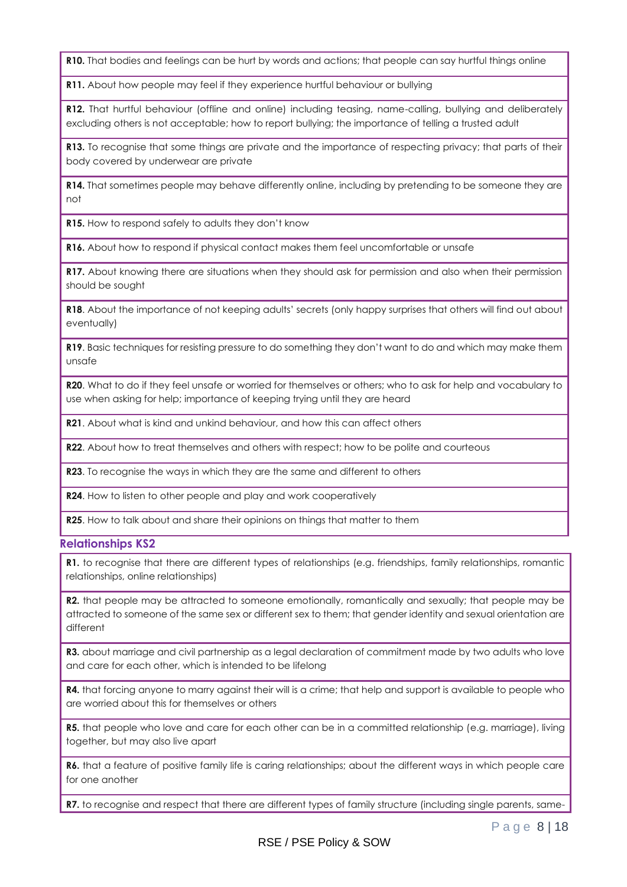**R10.** That bodies and feelings can be hurt by words and actions; that people can say hurtful things online

**R11.** About how people may feel if they experience hurtful behaviour or bullying

**R12.** That hurtful behaviour (offline and online) including teasing, name-calling, bullying and deliberately excluding others is not acceptable; how to report bullying; the importance of telling a trusted adult

**R13.** To recognise that some things are private and the importance of respecting privacy; that parts of their body covered by underwear are private

**R14.** That sometimes people may behave differently online, including by pretending to be someone they are not

**R15.** How to respond safely to adults they don't know

**R16.** About how to respond if physical contact makes them feel uncomfortable or unsafe

**R17.** About knowing there are situations when they should ask for permission and also when their permission should be sought

**R18**. About the importance of not keeping adults' secrets (only happy surprises that others will find out about eventually)

**R19**. Basic techniques for resisting pressure to do something they don't want to do and which may make them unsafe

**R20**. What to do if they feel unsafe or worried for themselves or others; who to ask for help and vocabulary to use when asking for help; importance of keeping trying until they are heard

**R21**. About what is kind and unkind behaviour, and how this can affect others

**R22.** About how to treat themselves and others with respect; how to be polite and courteous

**R23**. To recognise the ways in which they are the same and different to others

**R24**. How to listen to other people and play and work cooperatively

**R25**. How to talk about and share their opinions on things that matter to them

#### **Relationships KS2**

**R1.** to recognise that there are different types of relationships (e.g. friendships, family relationships, romantic relationships, online relationships)

**R2.** that people may be attracted to someone emotionally, romantically and sexually; that people may be attracted to someone of the same sex or different sex to them; that gender identity and sexual orientation are different

**R3.** about marriage and civil partnership as a legal declaration of commitment made by two adults who love and care for each other, which is intended to be lifelong

**R4.** that forcing anyone to marry against their will is a crime; that help and support is available to people who are worried about this for themselves or others

**R5.** that people who love and care for each other can be in a committed relationship (e.g. marriage), living together, but may also live apart

**R6.** that a feature of positive family life is caring relationships; about the different ways in which people care for one another

**R7.** to recognise and respect that there are different types of family structure (including single parents, same-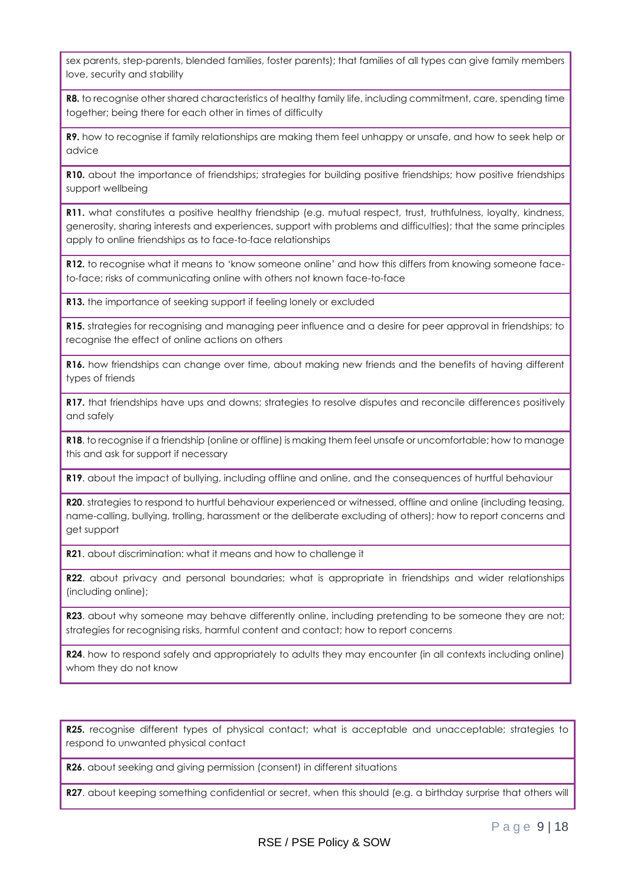sex parents, step-parents, blended families, foster parents); that families of all types can give family members love, security and stability

**R8.** to recognise other shared characteristics of healthy family life, including commitment, care, spending time together; being there for each other in times of difficulty

**R9.** how to recognise if family relationships are making them feel unhappy or unsafe, and how to seek help or advice

**R10.** about the importance of friendships; strategies for building positive friendships; how positive friendships support wellbeing

**R11.** what constitutes a positive healthy friendship (e.g. mutual respect, trust, truthfulness, loyalty, kindness, generosity, sharing interests and experiences, support with problems and difficulties); that the same principles apply to online friendships as to face-to-face relationships

**R12.** to recognise what it means to 'know someone online' and how this differs from knowing someone faceto-face; risks of communicating online with others not known face-to-face

**R13.** the importance of seeking support if feeling lonely or excluded

**R15.** strategies for recognising and managing peer influence and a desire for peer approval in friendships; to recognise the effect of online actions on others

**R16.** how friendships can change over time, about making new friends and the benefits of having different types of friends

**R17.** that friendships have ups and downs; strategies to resolve disputes and reconcile differences positively and safely

**R18**. to recognise if a friendship (online or offline) is making them feel unsafe or uncomfortable; how to manage this and ask for support if necessary

**R19**. about the impact of bullying, including offline and online, and the consequences of hurtful behaviour

**R20**. strategies to respond to hurtful behaviour experienced or witnessed, offline and online (including teasing, name-calling, bullying, trolling, harassment or the deliberate excluding of others); how to report concerns and get support

**R21**. about discrimination: what it means and how to challenge it

**R22**. about privacy and personal boundaries; what is appropriate in friendships and wider relationships (including online);

**R23**. about why someone may behave differently online, including pretending to be someone they are not; strategies for recognising risks, harmful content and contact; how to report concerns

**R24.** how to respond safely and appropriately to adults they may encounter (in all contexts including online) whom they do not know

**R25.** recognise different types of physical contact; what is acceptable and unacceptable; strategies to respond to unwanted physical contact

**R26**. about seeking and giving permission (consent) in different situations

**R27**. about keeping something confidential or secret, when this should (e.g. a birthday surprise that others will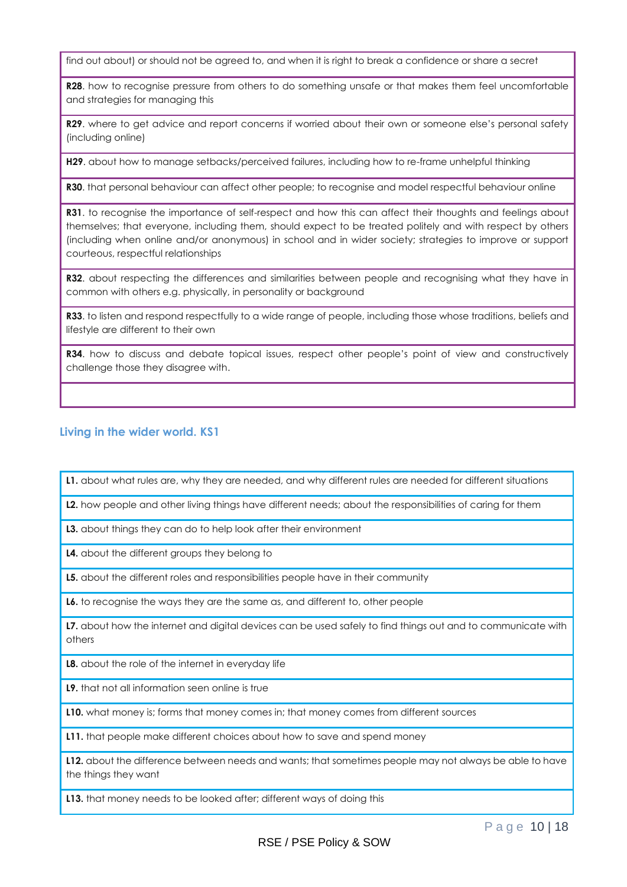find out about) or should not be agreed to, and when it is right to break a confidence or share a secret

**R28**. how to recognise pressure from others to do something unsafe or that makes them feel uncomfortable and strategies for managing this

**R29.** where to get advice and report concerns if worried about their own or someone else's personal safety (including online)

**H29**. about how to manage setbacks/perceived failures, including how to re-frame unhelpful thinking

**R30**. that personal behaviour can affect other people; to recognise and model respectful behaviour online

**R31**. to recognise the importance of self-respect and how this can affect their thoughts and feelings about themselves; that everyone, including them, should expect to be treated politely and with respect by others (including when online and/or anonymous) in school and in wider society; strategies to improve or support courteous, respectful relationships

**R32.** about respecting the differences and similarities between people and recognising what they have in common with others e.g. physically, in personality or background

**R33**. to listen and respond respectfully to a wide range of people, including those whose traditions, beliefs and lifestyle are different to their own

**R34**. how to discuss and debate topical issues, respect other people's point of view and constructively challenge those they disagree with.

#### **Living in the wider world. KS1**

**L1.** about what rules are, why they are needed, and why different rules are needed for different situations

**L2.** how people and other living things have different needs; about the responsibilities of caring for them

**L3.** about things they can do to help look after their environment

**L4.** about the different groups they belong to

**L5.** about the different roles and responsibilities people have in their community

**L6.** to recognise the ways they are the same as, and different to, other people

**L7.** about how the internet and digital devices can be used safely to find things out and to communicate with others

**L8.** about the role of the internet in everyday life

**L9.** that not all information seen online is true

**L10.** what money is; forms that money comes in; that money comes from different sources

**L11.** that people make different choices about how to save and spend money

**L12.** about the difference between needs and wants; that sometimes people may not always be able to have the things they want

**L13.** that money needs to be looked after; different ways of doing this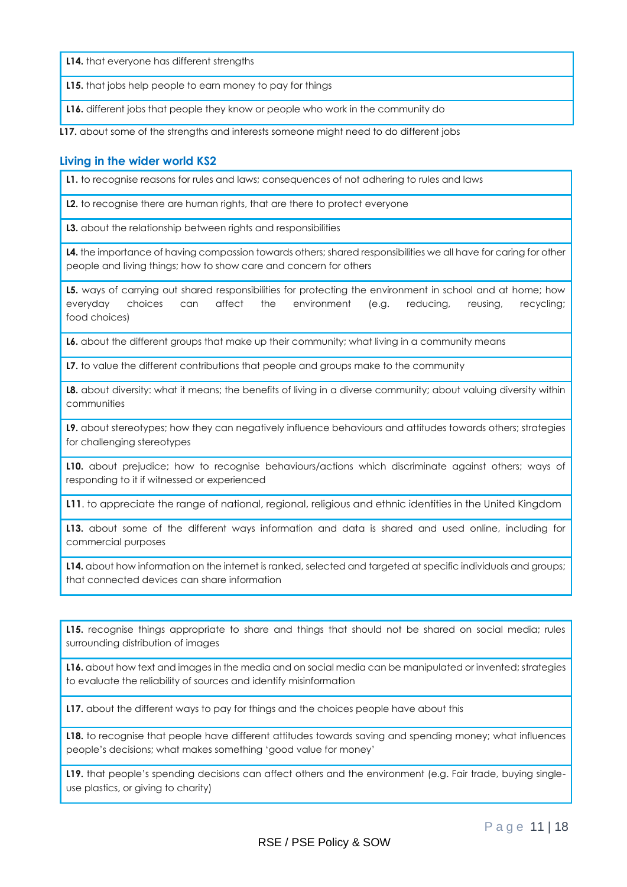**L14.** that everyone has different strengths

**L15.** that jobs help people to earn money to pay for things

**L16.** different jobs that people they know or people who work in the community do

**L17.** about some of the strengths and interests someone might need to do different jobs

#### **Living in the wider world KS2**

**L1.** to recognise reasons for rules and laws; consequences of not adhering to rules and laws

**L2.** to recognise there are human rights, that are there to protect everyone

**L3.** about the relationship between rights and responsibilities

L4. the importance of having compassion towards others; shared responsibilities we all have for caring for other people and living things; how to show care and concern for others

**L5.** ways of carrying out shared responsibilities for protecting the environment in school and at home; how everyday choices can affect the environment (e.g. reducing, reusing, recycling; food choices)

**L6.** about the different groups that make up their community; what living in a community means

**L7.** to value the different contributions that people and groups make to the community

**L8.** about diversity: what it means; the benefits of living in a diverse community; about valuing diversity within communities

**L9.** about stereotypes; how they can negatively influence behaviours and attitudes towards others; strategies for challenging stereotypes

**L10.** about prejudice; how to recognise behaviours/actions which discriminate against others; ways of responding to it if witnessed or experienced

**L11**. to appreciate the range of national, regional, religious and ethnic identities in the United Kingdom

**L13.** about some of the different ways information and data is shared and used online, including for commercial purposes

**L14.** about how information on the internet is ranked, selected and targeted at specific individuals and groups; that connected devices can share information

**L15.** recognise things appropriate to share and things that should not be shared on social media; rules surrounding distribution of images

**L16.** about how text and images in the media and on social media can be manipulated or invented; strategies to evaluate the reliability of sources and identify misinformation

**L17.** about the different ways to pay for things and the choices people have about this

**L18.** to recognise that people have different attitudes towards saving and spending money; what influences people's decisions; what makes something 'good value for money'

L19. that people's spending decisions can affect others and the environment (e.g. Fair trade, buying singleuse plastics, or giving to charity)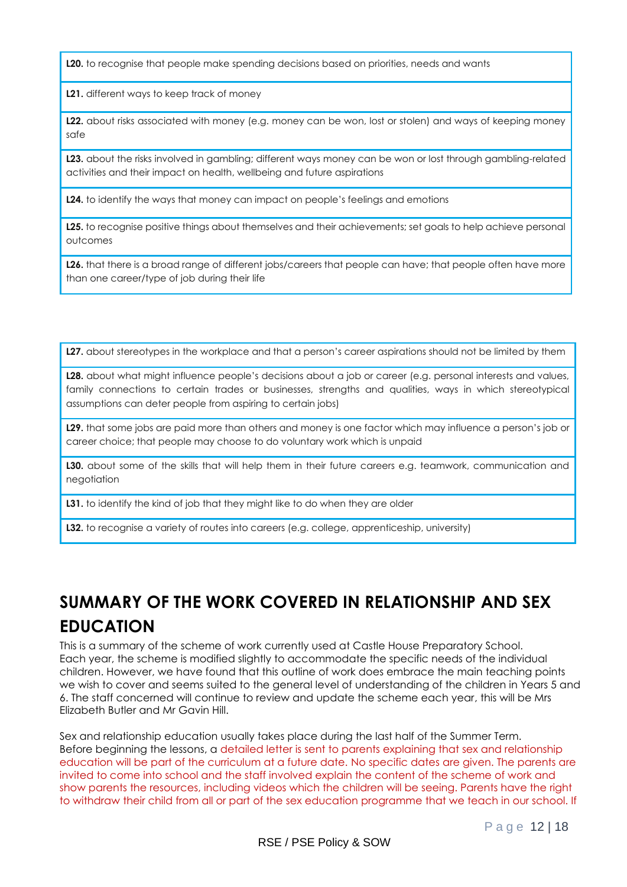**L20.** to recognise that people make spending decisions based on priorities, needs and wants

**L21.** different ways to keep track of money

**L22.** about risks associated with money (e.g. money can be won, lost or stolen) and ways of keeping money safe

**L23.** about the risks involved in gambling; different ways money can be won or lost through gambling-related activities and their impact on health, wellbeing and future aspirations

**L24.** to identify the ways that money can impact on people's feelings and emotions

**L25.** to recognise positive things about themselves and their achievements; set goals to help achieve personal outcomes

**L26.** that there is a broad range of different jobs/careers that people can have; that people often have more than one career/type of job during their life

**L27.** about stereotypes in the workplace and that a person's career aspirations should not be limited by them

**L28.** about what might influence people's decisions about a job or career (e.g. personal interests and values, family connections to certain trades or businesses, strengths and qualities, ways in which stereotypical assumptions can deter people from aspiring to certain jobs)

**L29.** that some jobs are paid more than others and money is one factor which may influence a person's job or career choice; that people may choose to do voluntary work which is unpaid

**L30.** about some of the skills that will help them in their future careers e.g. teamwork, communication and negotiation

**L31.** to identify the kind of job that they might like to do when they are older

**L32.** to recognise a variety of routes into careers (e.g. college, apprenticeship, university)

## **SUMMARY OF THE WORK COVERED IN RELATIONSHIP AND SEX EDUCATION**

This is a summary of the scheme of work currently used at Castle House Preparatory School. Each year, the scheme is modified slightly to accommodate the specific needs of the individual children. However, we have found that this outline of work does embrace the main teaching points we wish to cover and seems suited to the general level of understanding of the children in Years 5 and 6. The staff concerned will continue to review and update the scheme each year, this will be Mrs Elizabeth Butler and Mr Gavin Hill.

Sex and relationship education usually takes place during the last half of the Summer Term. Before beginning the lessons, a detailed letter is sent to parents explaining that sex and relationship education will be part of the curriculum at a future date. No specific dates are given. The parents are invited to come into school and the staff involved explain the content of the scheme of work and show parents the resources, including videos which the children will be seeing. Parents have the right to withdraw their child from all or part of the sex education programme that we teach in our school. If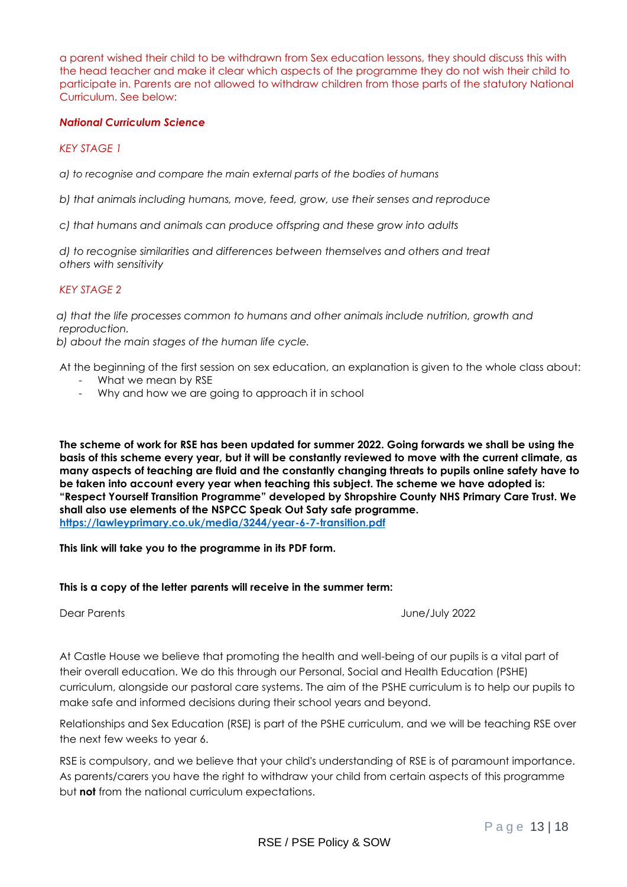a parent wished their child to be withdrawn from Sex education lessons, they should discuss this with the head teacher and make it clear which aspects of the programme they do not wish their child to participate in. Parents are not allowed to withdraw children from those parts of the statutory National Curriculum. See below:

#### *National Curriculum Science*

#### *KEY STAGE 1*

*a) to recognise and compare the main external parts of the bodies of humans* 

*b) that animals including humans, move, feed, grow, use their senses and reproduce* 

*c) that humans and animals can produce offspring and these grow into adults* 

 *d) to recognise similarities and differences between themselves and others and treat others with sensitivity* 

#### *KEY STAGE 2*

 *a) that the life processes common to humans and other animals include nutrition, growth and reproduction.* 

 *b) about the main stages of the human life cycle.* 

At the beginning of the first session on sex education, an explanation is given to the whole class about: - What we mean by RSE

- Why and how we are going to approach it in school

**The scheme of work for RSE has been updated for summer 2022. Going forwards we shall be using the basis of this scheme every year, but it will be constantly reviewed to move with the current climate, as many aspects of teaching are fluid and the constantly changing threats to pupils online safety have to be taken into account every year when teaching this subject. The scheme we have adopted is: "Respect Yourself Transition Programme" developed by Shropshire County NHS Primary Care Trust. We shall also use elements of the NSPCC Speak Out Saty safe programme. <https://lawleyprimary.co.uk/media/3244/year-6-7-transition.pdf>**

#### **This link will take you to the programme in its PDF form.**

#### **This is a copy of the letter parents will receive in the summer term:**

Dear Parents June/July 2022

At Castle House we believe that promoting the health and well-being of our pupils is a vital part of their overall education. We do this through our Personal, Social and Health Education (PSHE) curriculum, alongside our pastoral care systems. The aim of the PSHE curriculum is to help our pupils to make safe and informed decisions during their school years and beyond.

Relationships and Sex Education (RSE) is part of the PSHE curriculum, and we will be teaching RSE over the next few weeks to year 6.

RSE is compulsory, and we believe that your child's understanding of RSE is of paramount importance. As parents/carers you have the right to withdraw your child from certain aspects of this programme but **not** from the national curriculum expectations.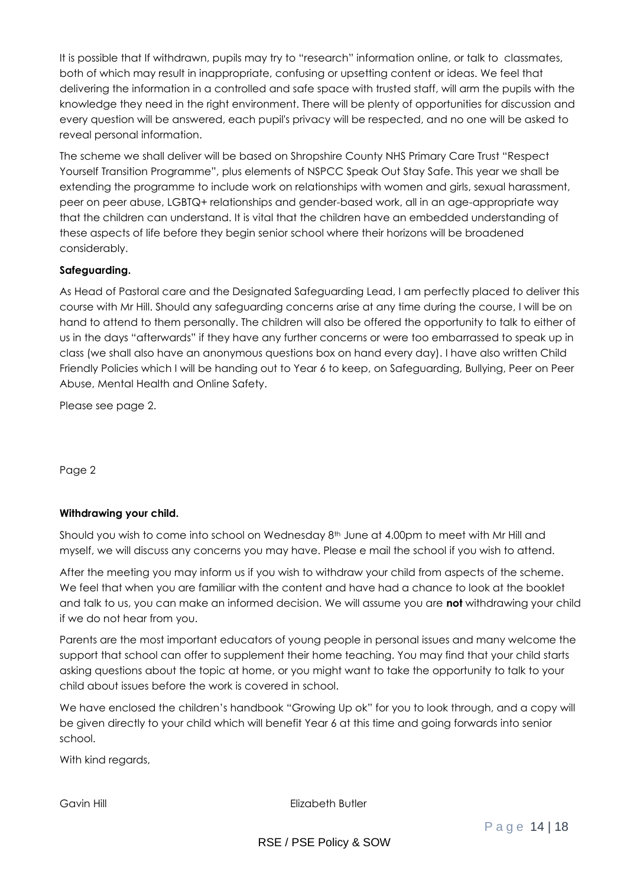It is possible that If withdrawn, pupils may try to "research" information online, or talk to classmates, both of which may result in inappropriate, confusing or upsetting content or ideas. We feel that delivering the information in a controlled and safe space with trusted staff, will arm the pupils with the knowledge they need in the right environment. There will be plenty of opportunities for discussion and every question will be answered, each pupil's privacy will be respected, and no one will be asked to reveal personal information.

The scheme we shall deliver will be based on Shropshire County NHS Primary Care Trust "Respect Yourself Transition Programme", plus elements of NSPCC Speak Out Stay Safe. This year we shall be extending the programme to include work on relationships with women and girls, sexual harassment, peer on peer abuse, LGBTQ+ relationships and gender-based work, all in an age-appropriate way that the children can understand. It is vital that the children have an embedded understanding of these aspects of life before they begin senior school where their horizons will be broadened considerably.

#### **Safeguarding.**

As Head of Pastoral care and the Designated Safeguarding Lead, I am perfectly placed to deliver this course with Mr Hill. Should any safeguarding concerns arise at any time during the course, I will be on hand to attend to them personally. The children will also be offered the opportunity to talk to either of us in the days "afterwards" if they have any further concerns or were too embarrassed to speak up in class (we shall also have an anonymous questions box on hand every day). I have also written Child Friendly Policies which I will be handing out to Year 6 to keep, on Safeguarding, Bullying, Peer on Peer Abuse, Mental Health and Online Safety.

Please see page 2.

Page 2

#### **Withdrawing your child.**

Should you wish to come into school on Wednesday 8<sup>th</sup> June at 4.00pm to meet with Mr Hill and myself, we will discuss any concerns you may have. Please e mail the school if you wish to attend.

After the meeting you may inform us if you wish to withdraw your child from aspects of the scheme. We feel that when you are familiar with the content and have had a chance to look at the booklet and talk to us, you can make an informed decision. We will assume you are **not** withdrawing your child if we do not hear from you.

Parents are the most important educators of young people in personal issues and many welcome the support that school can offer to supplement their home teaching. You may find that your child starts asking questions about the topic at home, or you might want to take the opportunity to talk to your child about issues before the work is covered in school.

We have enclosed the children's handbook "Growing Up ok" for you to look through, and a copy will be given directly to your child which will benefit Year 6 at this time and going forwards into senior school.

With kind regards,

Gavin Hill **Elizabeth Butler**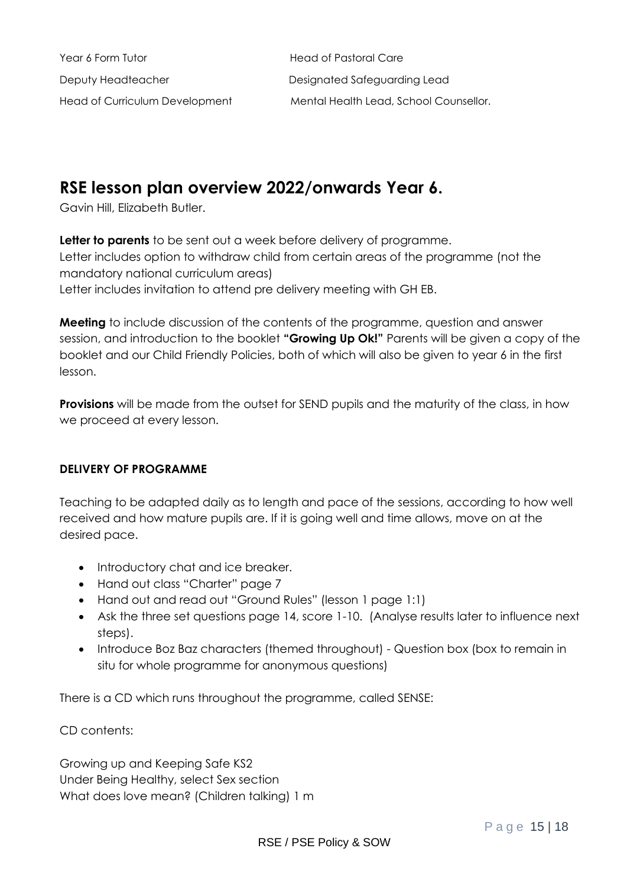Year 6 Form Tutor **Manufation Care** Deputy Headteacher **Designated Safeguarding Lead** 

Head of Curriculum Development Mental Health Lead, School Counsellor.

### **RSE lesson plan overview 2022/onwards Year 6.**

Gavin Hill, Elizabeth Butler.

**Letter to parents** to be sent out a week before delivery of programme. Letter includes option to withdraw child from certain areas of the programme (not the mandatory national curriculum areas) Letter includes invitation to attend pre delivery meeting with GH EB.

**Meeting** to include discussion of the contents of the programme, question and answer session, and introduction to the booklet **"Growing Up Ok!"** Parents will be given a copy of the booklet and our Child Friendly Policies, both of which will also be given to year 6 in the first lesson.

**Provisions** will be made from the outset for SEND pupils and the maturity of the class, in how we proceed at every lesson.

#### **DELIVERY OF PROGRAMME**

Teaching to be adapted daily as to length and pace of the sessions, according to how well received and how mature pupils are. If it is going well and time allows, move on at the desired pace.

- Introductory chat and ice breaker.
- Hand out class "Charter" page 7
- Hand out and read out "Ground Rules" (lesson 1 page 1:1)
- Ask the three set questions page 14, score 1-10. (Analyse results later to influence next steps).
- Introduce Boz Baz characters (themed throughout) Question box (box to remain in situ for whole programme for anonymous questions)

There is a CD which runs throughout the programme, called SENSE:

CD contents:

Growing up and Keeping Safe KS2 Under Being Healthy, select Sex section What does love mean? (Children talking) 1 m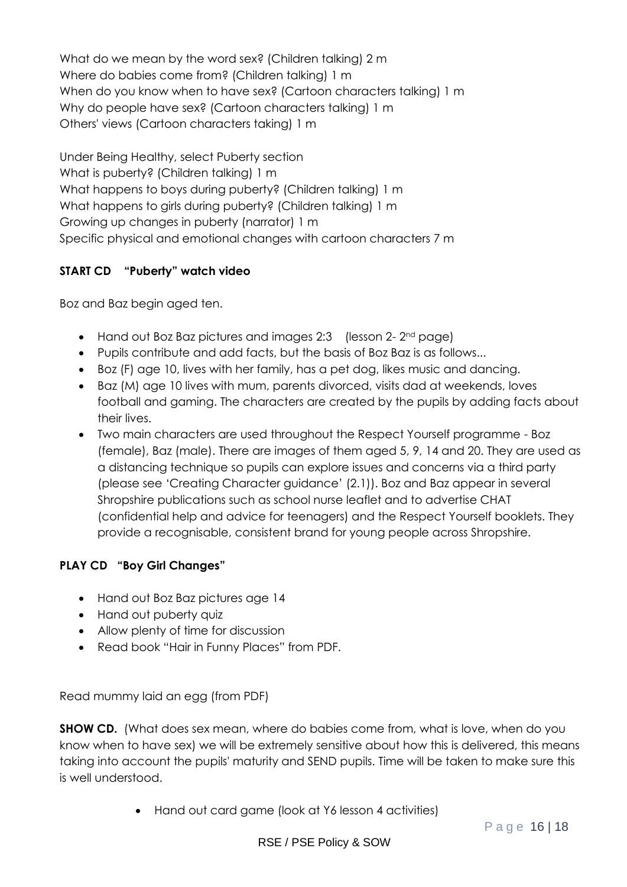What do we mean by the word sex? (Children talking) 2 m Where do babies come from? (Children talking) 1 m When do you know when to have sex? (Cartoon characters talking) 1 m Why do people have sex? (Cartoon characters talking) 1 m Others' views (Cartoon characters taking) 1 m

Under Being Healthy, select Puberty section What is puberty? (Children talking) 1 m What happens to boys during puberty? (Children talking) 1 m What happens to girls during puberty? (Children talking) 1 m Growing up changes in puberty (narrator) 1 m Specific physical and emotional changes with cartoon characters 7 m

#### **START CD "Puberty" watch video**

Boz and Baz begin aged ten.

- Hand out Boz Baz pictures and images 2:3 (lesson 2- 2<sup>nd</sup> page)
- Pupils contribute and add facts, but the basis of Boz Baz is as follows...
- Boz (F) age 10, lives with her family, has a pet dog, likes music and dancing.
- Baz (M) age 10 lives with mum, parents divorced, visits dad at weekends, loves football and gaming. The characters are created by the pupils by adding facts about their lives.
- Two main characters are used throughout the Respect Yourself programme Boz (female), Baz (male). There are images of them aged 5, 9, 14 and 20. They are used as a distancing technique so pupils can explore issues and concerns via a third party (please see 'Creating Character guidance' (2.1)). Boz and Baz appear in several Shropshire publications such as school nurse leaflet and to advertise CHAT (confidential help and advice for teenagers) and the Respect Yourself booklets. They provide a recognisable, consistent brand for young people across Shropshire.

#### **PLAY CD "Boy Girl Changes"**

- Hand out Boz Baz pictures age 14
- Hand out puberty quiz
- Allow plenty of time for discussion
- Read book "Hair in Funny Places" from PDF.

Read mummy laid an egg (from PDF)

**SHOW CD.** (What does sex mean, where do babies come from, what is love, when do you know when to have sex) we will be extremely sensitive about how this is delivered, this means taking into account the pupils' maturity and SEND pupils. Time will be taken to make sure this is well understood.

• Hand out card game (look at Y6 lesson 4 activities)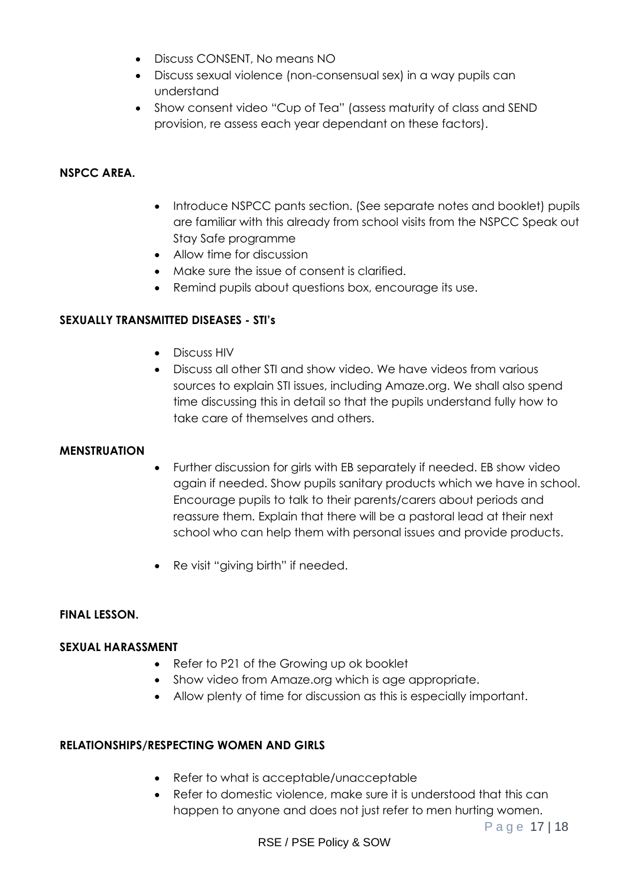- Discuss CONSENT, No means NO
- Discuss sexual violence (non-consensual sex) in a way pupils can understand
- Show consent video "Cup of Tea" (assess maturity of class and SEND provision, re assess each year dependant on these factors).

#### **NSPCC AREA.**

- Introduce NSPCC pants section. (See separate notes and booklet) pupils are familiar with this already from school visits from the NSPCC Speak out Stay Safe programme
- Allow time for discussion
- Make sure the issue of consent is clarified.
- Remind pupils about questions box, encourage its use.

#### **SEXUALLY TRANSMITTED DISEASES - STI's**

- Discuss HIV
- Discuss all other STI and show video. We have videos from various sources to explain STI issues, including Amaze.org. We shall also spend time discussing this in detail so that the pupils understand fully how to take care of themselves and others.

#### **MENSTRUATION**

- Further discussion for girls with EB separately if needed. EB show video again if needed. Show pupils sanitary products which we have in school. Encourage pupils to talk to their parents/carers about periods and reassure them. Explain that there will be a pastoral lead at their next school who can help them with personal issues and provide products.
- Re visit "giving birth" if needed.

#### **FINAL LESSON.**

#### **SEXUAL HARASSMENT**

- Refer to P21 of the Growing up ok booklet
- Show video from Amaze.org which is age appropriate.
- Allow plenty of time for discussion as this is especially important.

#### **RELATIONSHIPS/RESPECTING WOMEN AND GIRLS**

- Refer to what is acceptable/unacceptable
- Refer to domestic violence, make sure it is understood that this can happen to anyone and does not just refer to men hurting women.

Page 17 | 18